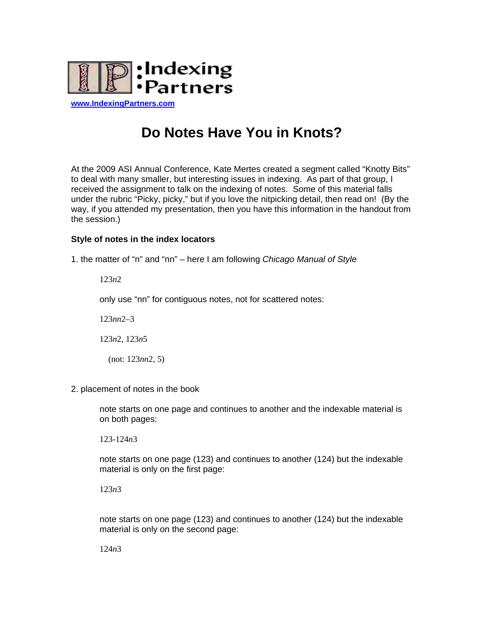

**[www.IndexingPartners.com](http://www.indexingpartners.com/)**

# **Do Notes Have You in Knots?**

At the 2009 ASI Annual Conference, Kate Mertes created a segment called "Knotty Bits" to deal with many smaller, but interesting issues in indexing. As part of that group, I received the assignment to talk on the indexing of notes. Some of this material falls under the rubric "Picky, picky," but if you love the nitpicking detail, then read on! (By the way, if you attended my presentation, then you have this information in the handout from the session.)

## **Style of notes in the index locators**

1. the matter of "n" and "nn" – here I am following *Chicago Manual of Style*

123*n*2

only use "nn" for contiguous notes, not for scattered notes:

123*nn*2–3

123*n*2, 123*n*5

(not: 123*nn*2, 5)

2. placement of notes in the book

note starts on one page and continues to another and the indexable material is on both pages:

123-124*n*3

note starts on one page (123) and continues to another (124) but the indexable material is only on the first page:

123*n*3

note starts on one page (123) and continues to another (124) but the indexable material is only on the second page:

124*n*3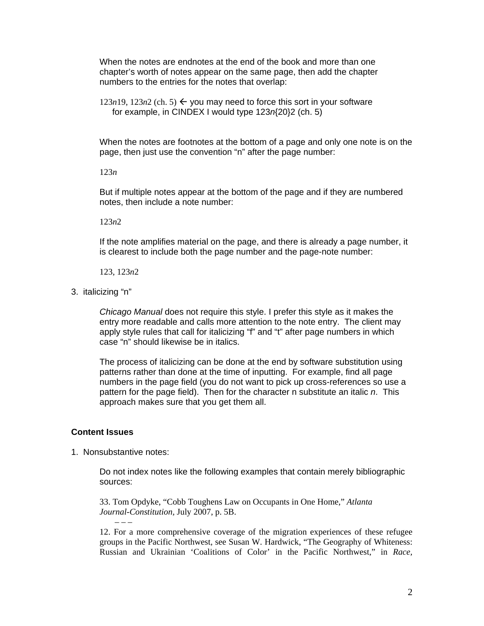When the notes are endnotes at the end of the book and more than one chapter's worth of notes appear on the same page, then add the chapter numbers to the entries for the notes that overlap:

 $123n19, 123n2$  (ch. 5)  $\leftarrow$  you may need to force this sort in your software for example, in CINDEX I would type 123*n*{20}2 (ch. 5)

When the notes are footnotes at the bottom of a page and only one note is on the page, then just use the convention "n" after the page number:

123*n* 

But if multiple notes appear at the bottom of the page and if they are numbered notes, then include a note number:

123*n*2

If the note amplifies material on the page, and there is already a page number, it is clearest to include both the page number and the page-note number:

123, 123*n*2

3. italicizing "n"

*Chicago Manual* does not require this style. I prefer this style as it makes the entry more readable and calls more attention to the note entry. The client may apply style rules that call for italicizing "f" and "t" after page numbers in which case "n" should likewise be in italics.

The process of italicizing can be done at the end by software substitution using patterns rather than done at the time of inputting. For example, find all page numbers in the page field (you do not want to pick up cross-references so use a pattern for the page field). Then for the character n substitute an italic *n*. This approach makes sure that you get them all.

### **Content Issues**

1. Nonsubstantive notes:

Do not index notes like the following examples that contain merely bibliographic sources:

33. Tom Opdyke, "Cobb Toughens Law on Occupants in One Home," *Atlanta Journal-Constitution,* July 2007, p. 5B.

12. For a more comprehensive coverage of the migration experiences of these refugee groups in the Pacific Northwest, see Susan W. Hardwick, "The Geography of Whiteness: Russian and Ukrainian 'Coalitions of Color' in the Pacific Northwest," in *Race,*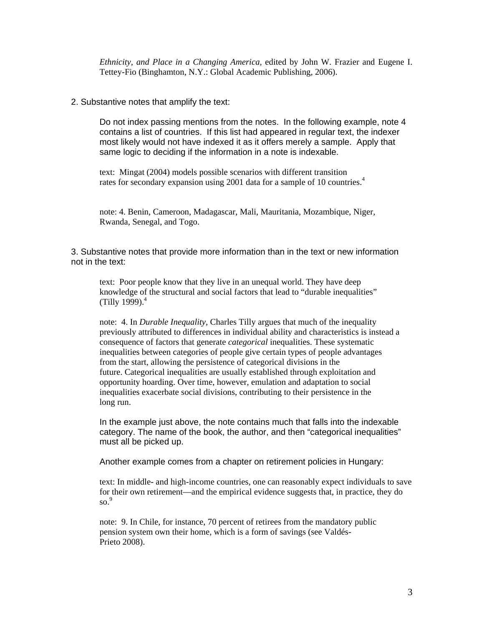*Ethnicity, and Place in a Changing America,* edited by John W. Frazier and Eugene I. Tettey-Fio (Binghamton, N.Y.: Global Academic Publishing, 2006).

#### 2. Substantive notes that amplify the text:

Do not index passing mentions from the notes. In the following example, note 4 contains a list of countries. If this list had appeared in regular text, the indexer most likely would not have indexed it as it offers merely a sample. Apply that same logic to deciding if the information in a note is indexable.

text: Mingat (2004) models possible scenarios with different transition rates for secondary expansion using 2001 data for a sample of 10 countries.<sup>4</sup>

note: 4. Benin, Cameroon, Madagascar, Mali, Mauritania, Mozambique, Niger, Rwanda, Senegal, and Togo.

3. Substantive notes that provide more information than in the text or new information not in the text:

text: Poor people know that they live in an unequal world. They have deep knowledge of the structural and social factors that lead to "durable inequalities" (Tilly 1999). $^{4}$ 

note: 4. In *Durable Inequality,* Charles Tilly argues that much of the inequality previously attributed to differences in individual ability and characteristics is instead a consequence of factors that generate *categorical* inequalities. These systematic inequalities between categories of people give certain types of people advantages from the start, allowing the persistence of categorical divisions in the future. Categorical inequalities are usually established through exploitation and opportunity hoarding. Over time, however, emulation and adaptation to social inequalities exacerbate social divisions, contributing to their persistence in the long run.

In the example just above, the note contains much that falls into the indexable category. The name of the book, the author, and then "categorical inequalities" must all be picked up.

Another example comes from a chapter on retirement policies in Hungary:

text: In middle- and high-income countries, one can reasonably expect individuals to save for their own retirement—and the empirical evidence suggests that, in practice, they do  $\mathrm{so.}^9$ 

note: 9. In Chile, for instance, 70 percent of retirees from the mandatory public pension system own their home, which is a form of savings (see Valdés-Prieto 2008).